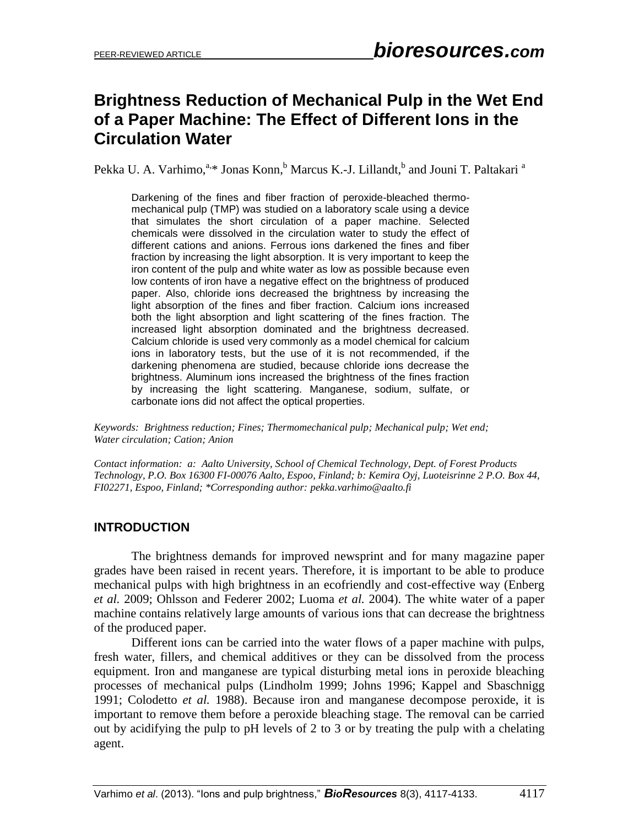# **Brightness Reduction of Mechanical Pulp in the Wet End of a Paper Machine: The Effect of Different Ions in the Circulation Water**

Pekka U. A. Varhimo,<sup>a,</sup>\* Jonas Konn,<sup>b</sup> Marcus K.-J. Lillandt,<sup>b</sup> and Jouni T. Paltakari <sup>a</sup>

Darkening of the fines and fiber fraction of peroxide-bleached thermomechanical pulp (TMP) was studied on a laboratory scale using a device that simulates the short circulation of a paper machine. Selected chemicals were dissolved in the circulation water to study the effect of different cations and anions. Ferrous ions darkened the fines and fiber fraction by increasing the light absorption. It is very important to keep the iron content of the pulp and white water as low as possible because even low contents of iron have a negative effect on the brightness of produced paper. Also, chloride ions decreased the brightness by increasing the light absorption of the fines and fiber fraction. Calcium ions increased both the light absorption and light scattering of the fines fraction. The increased light absorption dominated and the brightness decreased. Calcium chloride is used very commonly as a model chemical for calcium ions in laboratory tests, but the use of it is not recommended, if the darkening phenomena are studied, because chloride ions decrease the brightness. Aluminum ions increased the brightness of the fines fraction by increasing the light scattering. Manganese, sodium, sulfate, or carbonate ions did not affect the optical properties.

*Keywords: Brightness reduction; Fines; Thermomechanical pulp; Mechanical pulp; Wet end; Water circulation; Cation; Anion* 

*Contact information: a: Aalto University, School of Chemical Technology, Dept. of Forest Products Technology, P.O. Box 16300 FI-00076 Aalto, Espoo, Finland; b: Kemira Oyj, Luoteisrinne 2 P.O. Box 44, FI02271, Espoo, Finland; \*Corresponding author: [pekka.varhimo@aalto.fi](mailto:pekka.varhimo@aalto.fi)*

# **INTRODUCTION**

The brightness demands for improved newsprint and for many magazine paper grades have been raised in recent years. Therefore, it is important to be able to produce mechanical pulps with high brightness in an ecofriendly and cost-effective way (Enberg *et al.* 2009; Ohlsson and Federer 2002; Luoma *et al.* 2004). The white water of a paper machine contains relatively large amounts of various ions that can decrease the brightness of the produced paper.

Different ions can be carried into the water flows of a paper machine with pulps, fresh water, fillers, and chemical additives or they can be dissolved from the process equipment. Iron and manganese are typical disturbing metal ions in peroxide bleaching processes of mechanical pulps (Lindholm 1999; Johns 1996; Kappel and Sbaschnigg 1991; Colodetto *et al.* 1988). Because iron and manganese decompose peroxide, it is important to remove them before a peroxide bleaching stage. The removal can be carried out by acidifying the pulp to pH levels of 2 to 3 or by treating the pulp with a chelating agent.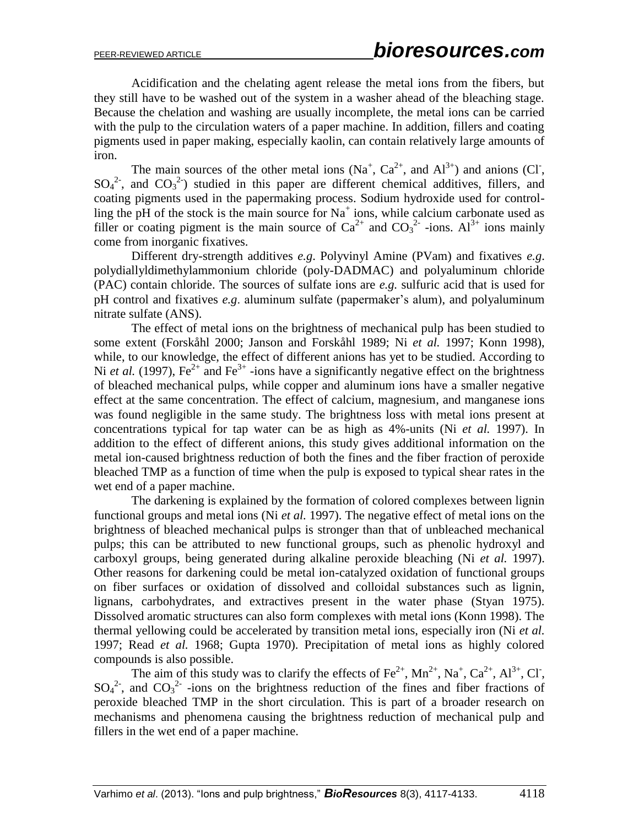Acidification and the chelating agent release the metal ions from the fibers, but they still have to be washed out of the system in a washer ahead of the bleaching stage. Because the chelation and washing are usually incomplete, the metal ions can be carried with the pulp to the circulation waters of a paper machine. In addition, fillers and coating pigments used in paper making, especially kaolin, can contain relatively large amounts of iron.

The main sources of the other metal ions  $(Na^+, Ca^{2+}, and Al^{3+})$  and anions (CI,  $SO_4^2$ , and  $CO_3^2$ ) studied in this paper are different chemical additives, fillers, and coating pigments used in the papermaking process. Sodium hydroxide used for controlling the pH of the stock is the main source for  $Na<sup>+</sup>$  ions, while calcium carbonate used as filler or coating pigment is the main source of  $Ca^{2+}$  and  $CO<sub>3</sub><sup>2-</sup> -ions$ . Al<sup>3+</sup> ions mainly come from inorganic fixatives.

Different dry-strength additives *e.g*. Polyvinyl Amine (PVam) and fixatives *e.g*. polydiallyldimethylammonium chloride (poly-DADMAC) and polyaluminum chloride (PAC) contain chloride. The sources of sulfate ions are *e.g.* sulfuric acid that is used for pH control and fixatives *e.g*. aluminum sulfate (papermaker's alum), and polyaluminum nitrate sulfate (ANS).

The effect of metal ions on the brightness of mechanical pulp has been studied to some extent (Forskåhl 2000; Janson and Forskåhl 1989; Ni *et al.* 1997; Konn 1998), while, to our knowledge, the effect of different anions has yet to be studied. According to Ni *et al.* (1997),  $Fe^{2+}$  and  $Fe^{3+}$ -ions have a significantly negative effect on the brightness of bleached mechanical pulps, while copper and aluminum ions have a smaller negative effect at the same concentration. The effect of calcium, magnesium, and manganese ions was found negligible in the same study. The brightness loss with metal ions present at concentrations typical for tap water can be as high as 4%-units (Ni *et al.* 1997). In addition to the effect of different anions, this study gives additional information on the metal ion-caused brightness reduction of both the fines and the fiber fraction of peroxide bleached TMP as a function of time when the pulp is exposed to typical shear rates in the wet end of a paper machine.

The darkening is explained by the formation of colored complexes between lignin functional groups and metal ions (Ni *et al.* 1997). The negative effect of metal ions on the brightness of bleached mechanical pulps is stronger than that of unbleached mechanical pulps; this can be attributed to new functional groups, such as phenolic hydroxyl and carboxyl groups, being generated during alkaline peroxide bleaching (Ni *et al.* 1997). Other reasons for darkening could be metal ion-catalyzed oxidation of functional groups on fiber surfaces or oxidation of dissolved and colloidal substances such as lignin, lignans, carbohydrates, and extractives present in the water phase (Styan 1975). Dissolved aromatic structures can also form complexes with metal ions (Konn 1998). The thermal yellowing could be accelerated by transition metal ions, especially iron (Ni *et al.* 1997; Read *et al.* 1968; Gupta 1970). Precipitation of metal ions as highly colored compounds is also possible.

The aim of this study was to clarify the effects of  $\text{Fe}^{2+}$ ,  $\text{Mn}^{2+}$ ,  $\text{Na}^+$ ,  $\text{Ca}^{2+}$ ,  $\text{Al}^{3+}$ , Cl,  $SO_4^2$ , and  $CO_3^2$  -ions on the brightness reduction of the fines and fiber fractions of peroxide bleached TMP in the short circulation. This is part of a broader research on mechanisms and phenomena causing the brightness reduction of mechanical pulp and fillers in the wet end of a paper machine.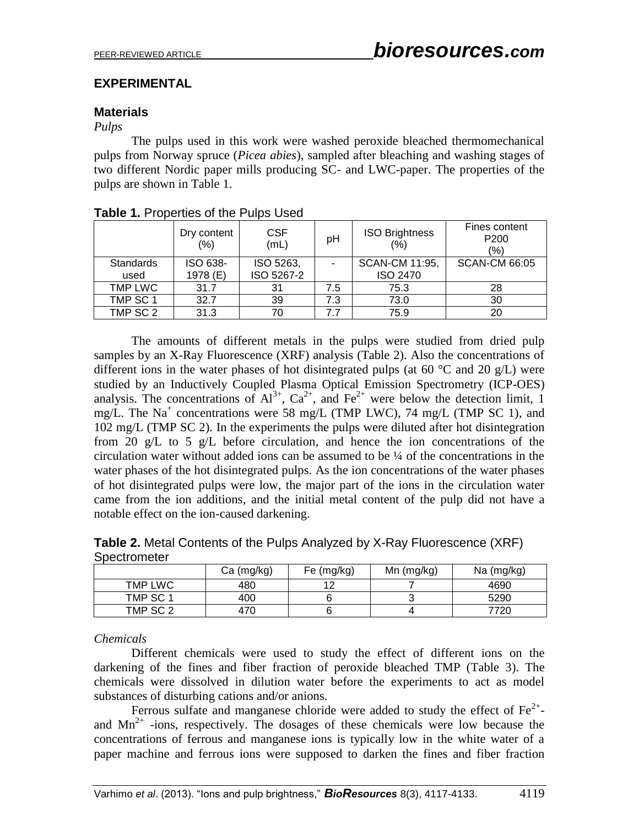### **EXPERIMENTAL**

### **Materials**

### *Pulps*

The pulps used in this work were washed peroxide bleached thermomechanical pulps from Norway spruce (*Picea abies*), sampled after bleaching and washing stages of two different Nordic paper mills producing SC- and LWC-paper. The properties of the pulps are shown in Table 1.

|                          | Dry content<br>(%)   | <b>CSF</b><br>(mL)      | рH  | <b>ISO Brightness</b><br>(%)      | Fines content<br>P <sub>200</sub><br>(%) |  |
|--------------------------|----------------------|-------------------------|-----|-----------------------------------|------------------------------------------|--|
| <b>Standards</b><br>used | ISO 638-<br>1978 (E) | ISO 5263,<br>ISO 5267-2 |     | SCAN-CM 11:95,<br><b>ISO 2470</b> | <b>SCAN-CM 66:05</b>                     |  |
| TMP LWC                  | 31.7                 | 31                      | 7.5 | 75.3                              | 28                                       |  |
| TMP SC 1                 | 32.7                 | 39                      | 7.3 | 73.0                              | 30                                       |  |
| TMP SC 2                 | 31.3                 | 70                      |     | 75.9                              | 20                                       |  |

**Table 1.** Properties of the Pulps Used

The amounts of different metals in the pulps were studied from dried pulp samples by an X-Ray Fluorescence (XRF) analysis (Table 2). Also the concentrations of different ions in the water phases of hot disintegrated pulps (at 60  $\degree$ C and 20 g/L) were studied by an Inductively Coupled Plasma Optical Emission Spectrometry (ICP-OES) analysis. The concentrations of  $Al^{3+}$ ,  $Ca^{2+}$ , and  $Fe^{2+}$  were below the detection limit, 1 mg/L. The Na<sup>+</sup> concentrations were 58 mg/L (TMP LWC), 74 mg/L (TMP SC 1), and 102 mg/L (TMP SC 2). In the experiments the pulps were diluted after hot disintegration from 20 g/L to 5 g/L before circulation, and hence the ion concentrations of the circulation water without added ions can be assumed to be ¼ of the concentrations in the water phases of the hot disintegrated pulps. As the ion concentrations of the water phases of hot disintegrated pulps were low, the major part of the ions in the circulation water came from the ion additions, and the initial metal content of the pulp did not have a notable effect on the ion-caused darkening.

| <b>Table 2.</b> Metal Contents of the Pulps Analyzed by X-Ray Fluorescence (XRF) |  |
|----------------------------------------------------------------------------------|--|
| Spectrometer                                                                     |  |

|          | Ca (mg/kg) | Fe (mg/kg) | Mn (mg/kg) | Na (mg/kg) |
|----------|------------|------------|------------|------------|
| TMP LWC  | 480        |            |            | 4690       |
| TMP SC 1 | 400        |            |            | 5290       |
| TMP SC 2 | 470        |            |            | 7720       |

### *Chemicals*

Different chemicals were used to study the effect of different ions on the darkening of the fines and fiber fraction of peroxide bleached TMP (Table 3). The chemicals were dissolved in dilution water before the experiments to act as model substances of disturbing cations and/or anions.

Ferrous sulfate and manganese chloride were added to study the effect of  $Fe^{2+}$ and  $Mn^{2+}$  -ions, respectively. The dosages of these chemicals were low because the concentrations of ferrous and manganese ions is typically low in the white water of a paper machine and ferrous ions were supposed to darken the fines and fiber fraction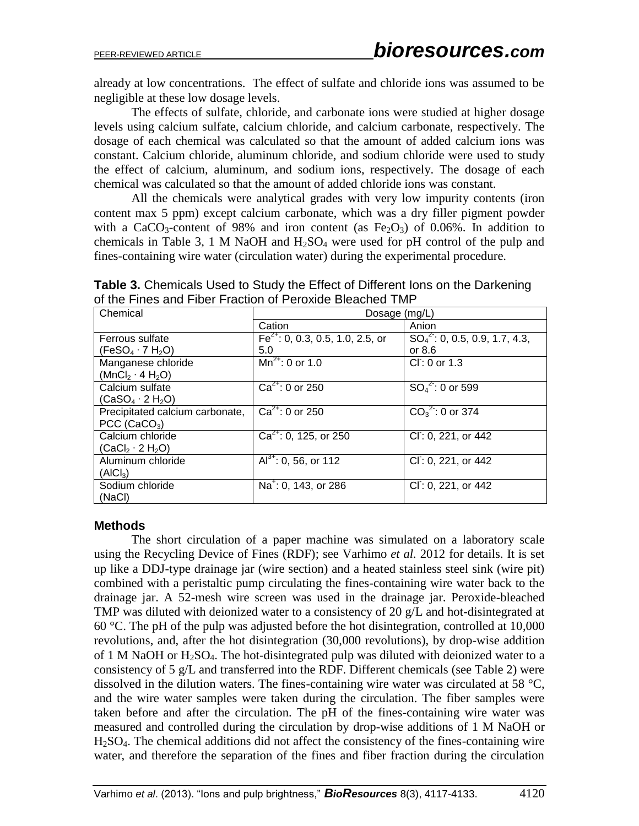already at low concentrations. The effect of sulfate and chloride ions was assumed to be negligible at these low dosage levels.

The effects of sulfate, chloride, and carbonate ions were studied at higher dosage levels using calcium sulfate, calcium chloride, and calcium carbonate, respectively. The dosage of each chemical was calculated so that the amount of added calcium ions was constant. Calcium chloride, aluminum chloride, and sodium chloride were used to study the effect of calcium, aluminum, and sodium ions, respectively. The dosage of each chemical was calculated so that the amount of added chloride ions was constant.

All the chemicals were analytical grades with very low impurity contents (iron content max 5 ppm) except calcium carbonate, which was a dry filler pigment powder with a CaCO<sub>3</sub>-content of 98% and iron content (as  $Fe<sub>2</sub>O<sub>3</sub>$ ) of 0.06%. In addition to chemicals in Table 3, 1 M NaOH and  $H_2SO_4$  were used for pH control of the pulp and fines-containing wire water (circulation water) during the experimental procedure.

| Chemical                                 | Dosage (mg/L)                                |                                              |  |  |  |  |
|------------------------------------------|----------------------------------------------|----------------------------------------------|--|--|--|--|
|                                          | Cation                                       | Anion                                        |  |  |  |  |
| Ferrous sulfate                          | Fe <sup>2+</sup> : 0, 0.3, 0.5, 1.0, 2.5, or | $\overline{SO_4}^2$ : 0, 0.5, 0.9, 1.7, 4.3, |  |  |  |  |
| (FeSO <sub>4</sub> · 7 H <sub>2</sub> O) | 5.0                                          | or $8.6$                                     |  |  |  |  |
| Manganese chloride                       | $Mn^{2+}$ : 0 or 1.0                         | $CI: 0$ or 1.3                               |  |  |  |  |
| (MnCl <sub>2</sub> · 4 H <sub>2</sub> O) |                                              |                                              |  |  |  |  |
| Calcium sulfate                          | $Ca^{2+}$ : 0 or 250                         | $SO_4^2$ : 0 or 599                          |  |  |  |  |
| (CaSO <sub>4</sub> · 2 H <sub>2</sub> O) |                                              |                                              |  |  |  |  |
| Precipitated calcium carbonate,          | $Ca^{2+}$ : 0 or 250                         | $CO32$ : 0 or 374                            |  |  |  |  |
| PCC $(CaCO3)$                            |                                              |                                              |  |  |  |  |
| Calcium chloride                         | $Ca2+: 0, 125, or 250$                       | CI: 0, 221, or 442                           |  |  |  |  |
| (CaCl <sub>2</sub> · 2 H <sub>2</sub> O) |                                              |                                              |  |  |  |  |
| Aluminum chloride                        | $Al^{3+}$ : 0, 56, or 112                    | CI: 0, 221, or 442                           |  |  |  |  |
| (AICI <sub>3</sub> )                     |                                              |                                              |  |  |  |  |
| Sodium chloride                          | Na <sup>+</sup> : 0, 143, or 286             | CI: 0, 221, or 442                           |  |  |  |  |
| (NaCl)                                   |                                              |                                              |  |  |  |  |

**Table 3.** Chemicals Used to Study the Effect of Different Ions on the Darkening of the Fines and Fiber Fraction of Peroxide Bleached TMP

### **Methods**

The short circulation of a paper machine was simulated on a laboratory scale using the Recycling Device of Fines (RDF); see Varhimo *et al.* 2012 for details. It is set up like a DDJ-type drainage jar (wire section) and a heated stainless steel sink (wire pit) combined with a peristaltic pump circulating the fines-containing wire water back to the drainage jar. A 52-mesh wire screen was used in the drainage jar. Peroxide-bleached TMP was diluted with deionized water to a consistency of 20 g/L and hot-disintegrated at 60 °C. The pH of the pulp was adjusted before the hot disintegration, controlled at 10,000 revolutions, and, after the hot disintegration (30,000 revolutions), by drop-wise addition of 1 M NaOH or  $H_2SO_4$ . The hot-disintegrated pulp was diluted with deionized water to a consistency of 5 g/L and transferred into the RDF. Different chemicals (see Table 2) were dissolved in the dilution waters. The fines-containing wire water was circulated at 58 °C, and the wire water samples were taken during the circulation. The fiber samples were taken before and after the circulation. The pH of the fines-containing wire water was measured and controlled during the circulation by drop-wise additions of 1 M NaOH or H2SO4. The chemical additions did not affect the consistency of the fines-containing wire water, and therefore the separation of the fines and fiber fraction during the circulation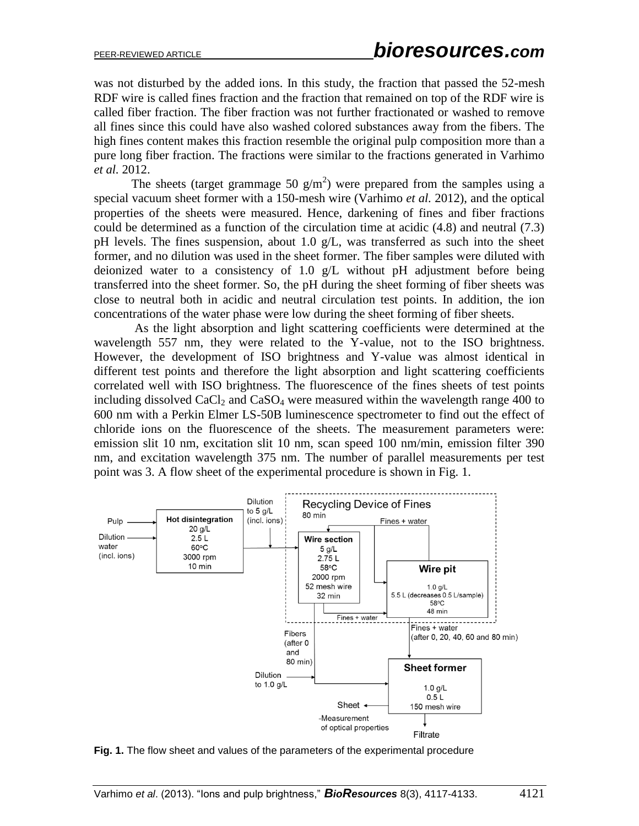was not disturbed by the added ions. In this study, the fraction that passed the 52-mesh RDF wire is called fines fraction and the fraction that remained on top of the RDF wire is called fiber fraction. The fiber fraction was not further fractionated or washed to remove all fines since this could have also washed colored substances away from the fibers. The high fines content makes this fraction resemble the original pulp composition more than a pure long fiber fraction. The fractions were similar to the fractions generated in Varhimo *et al.* 2012.

The sheets (target grammage 50  $g/m<sup>2</sup>$ ) were prepared from the samples using a special vacuum sheet former with a 150-mesh wire (Varhimo *et al.* 2012), and the optical properties of the sheets were measured. Hence, darkening of fines and fiber fractions could be determined as a function of the circulation time at acidic (4.8) and neutral (7.3) pH levels. The fines suspension, about 1.0  $g/L$ , was transferred as such into the sheet former, and no dilution was used in the sheet former. The fiber samples were diluted with deionized water to a consistency of 1.0  $g/L$  without pH adjustment before being transferred into the sheet former. So, the pH during the sheet forming of fiber sheets was close to neutral both in acidic and neutral circulation test points. In addition, the ion concentrations of the water phase were low during the sheet forming of fiber sheets.

As the light absorption and light scattering coefficients were determined at the wavelength 557 nm, they were related to the Y-value, not to the ISO brightness. However, the development of ISO brightness and Y-value was almost identical in different test points and therefore the light absorption and light scattering coefficients correlated well with ISO brightness. The fluorescence of the fines sheets of test points including dissolved  $CaCl<sub>2</sub>$  and  $CaSO<sub>4</sub>$  were measured within the wavelength range 400 to 600 nm with a Perkin Elmer LS-50B luminescence spectrometer to find out the effect of chloride ions on the fluorescence of the sheets. The measurement parameters were: emission slit 10 nm, excitation slit 10 nm, scan speed 100 nm/min, emission filter 390 nm, and excitation wavelength 375 nm. The number of parallel measurements per test point was 3. A flow sheet of the experimental procedure is shown in Fig. 1.



**Fig. 1.** The flow sheet and values of the parameters of the experimental procedure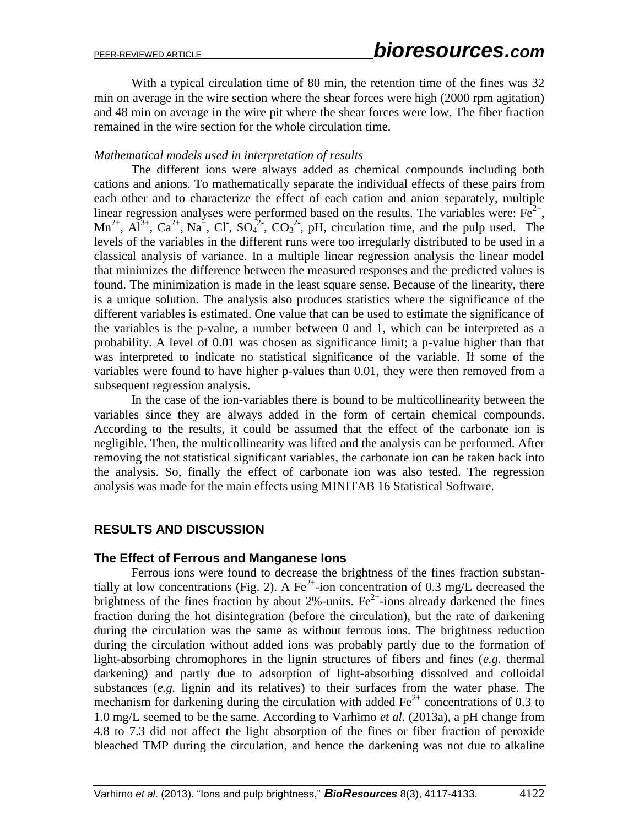With a typical circulation time of 80 min, the retention time of the fines was 32 min on average in the wire section where the shear forces were high (2000 rpm agitation) and 48 min on average in the wire pit where the shear forces were low. The fiber fraction remained in the wire section for the whole circulation time.

### *Mathematical models used in interpretation of results*

The different ions were always added as chemical compounds including both cations and anions. To mathematically separate the individual effects of these pairs from each other and to characterize the effect of each cation and anion separately, multiple linear regression analyses were performed based on the results. The variables were:  $Fe^{2+}$ ,  $Mn^{2+}$ ,  $Al^{3+}$ ,  $Ca^{2+}$ ,  $Na^{+}$ , Cl,  $SO_4^{2-}$ ,  $CO_3^{2-}$ , pH, circulation time, and the pulp used. The levels of the variables in the different runs were too irregularly distributed to be used in a classical analysis of variance. In a multiple linear regression analysis the linear model that minimizes the difference between the measured responses and the predicted values is found. The minimization is made in the least square sense. Because of the linearity, there is a unique solution. The analysis also produces statistics where the significance of the different variables is estimated. One value that can be used to estimate the significance of the variables is the p-value, a number between 0 and 1, which can be interpreted as a probability. A level of 0.01 was chosen as significance limit; a p-value higher than that was interpreted to indicate no statistical significance of the variable. If some of the variables were found to have higher p-values than 0.01, they were then removed from a subsequent regression analysis.

In the case of the ion-variables there is bound to be multicollinearity between the variables since they are always added in the form of certain chemical compounds. According to the results, it could be assumed that the effect of the carbonate ion is negligible. Then, the multicollinearity was lifted and the analysis can be performed. After removing the not statistical significant variables, the carbonate ion can be taken back into the analysis. So, finally the effect of carbonate ion was also tested. The regression analysis was made for the main effects using MINITAB 16 Statistical Software.

# **RESULTS AND DISCUSSION**

### **The Effect of Ferrous and Manganese Ions**

Ferrous ions were found to decrease the brightness of the fines fraction substantially at low concentrations (Fig. 2). A Fe<sup>2+</sup>-ion concentration of 0.3 mg/L decreased the brightness of the fines fraction by about 2%-units.  $Fe^{2+}$ -ions already darkened the fines fraction during the hot disintegration (before the circulation), but the rate of darkening during the circulation was the same as without ferrous ions. The brightness reduction during the circulation without added ions was probably partly due to the formation of light-absorbing chromophores in the lignin structures of fibers and fines (*e.g.* thermal darkening) and partly due to adsorption of light-absorbing dissolved and colloidal substances (*e.g.* lignin and its relatives) to their surfaces from the water phase. The mechanism for darkening during the circulation with added  $Fe^{2+}$  concentrations of 0.3 to 1.0 mg/L seemed to be the same. According to Varhimo *et al.* (2013a), a pH change from 4.8 to 7.3 did not affect the light absorption of the fines or fiber fraction of peroxide bleached TMP during the circulation, and hence the darkening was not due to alkaline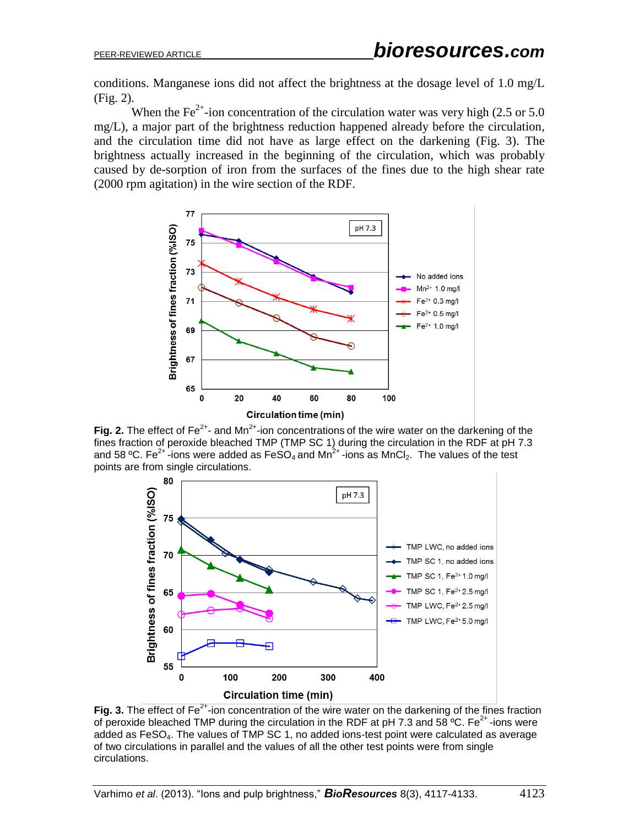conditions. Manganese ions did not affect the brightness at the dosage level of 1.0 mg/L (Fig. 2).

When the Fe<sup>2+</sup>-ion concentration of the circulation water was very high (2.5 or 5.0) mg/L), a major part of the brightness reduction happened already before the circulation, and the circulation time did not have as large effect on the darkening (Fig. 3). The brightness actually increased in the beginning of the circulation, which was probably caused by de-sorption of iron from the surfaces of the fines due to the high shear rate (2000 rpm agitation) in the wire section of the RDF.



Fig. 2. The effect of  $\text{Fe}^{2+}$ - and Mn<sup>2+</sup>-ion concentrations of the wire water on the darkening of the fines fraction of peroxide bleached TMP (TMP SC 1) during the circulation in the RDF at pH 7.3 and 58 °C. Fe<sup>2+</sup>-ions were added as FeSO<sub>4</sub> and Mn<sup>2+</sup>-ions as MnCl<sub>2</sub>. The values of the test points are from single circulations.



Fig. 3. The effect of Fe<sup>2+</sup>-ion concentration of the wire water on the darkening of the fines fraction of peroxide bleached TMP during the circulation in the RDF at pH 7.3 and 58 °C. Fe<sup>2+</sup> -ions were added as FeSO<sub>4</sub>. The values of TMP SC 1, no added ions-test point were calculated as average of two circulations in parallel and the values of all the other test points were from single circulations.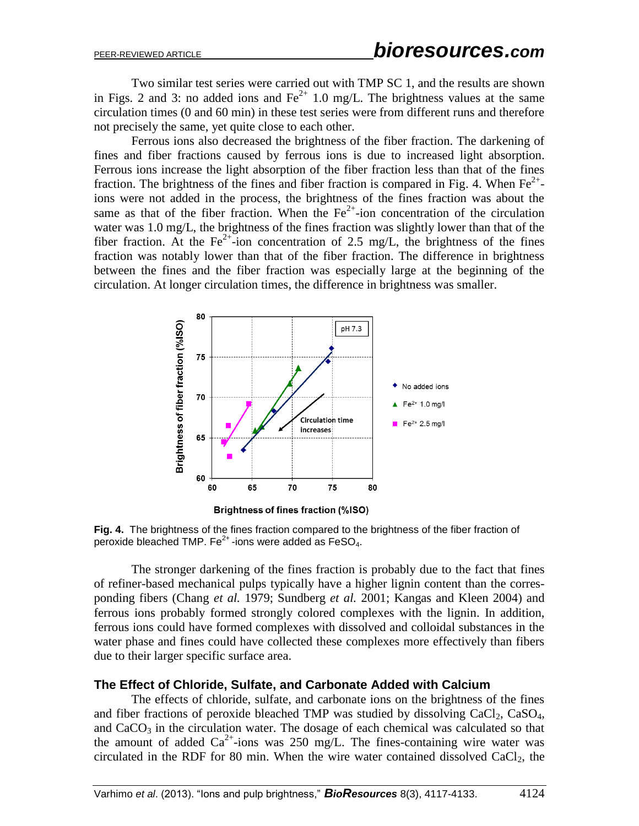Two similar test series were carried out with TMP SC 1, and the results are shown in Figs. 2 and 3: no added ions and  $Fe^{2+}$  1.0 mg/L. The brightness values at the same circulation times (0 and 60 min) in these test series were from different runs and therefore not precisely the same, yet quite close to each other.

Ferrous ions also decreased the brightness of the fiber fraction. The darkening of fines and fiber fractions caused by ferrous ions is due to increased light absorption. Ferrous ions increase the light absorption of the fiber fraction less than that of the fines fraction. The brightness of the fines and fiber fraction is compared in Fig. 4. When  $Fe^{2+}$ ions were not added in the process, the brightness of the fines fraction was about the same as that of the fiber fraction. When the  $Fe<sup>2+</sup>$ -ion concentration of the circulation water was 1.0 mg/L, the brightness of the fines fraction was slightly lower than that of the fiber fraction. At the Fe<sup>2+</sup>-ion concentration of 2.5 mg/L, the brightness of the fines fraction was notably lower than that of the fiber fraction. The difference in brightness between the fines and the fiber fraction was especially large at the beginning of the circulation. At longer circulation times, the difference in brightness was smaller.



**Fig. 4.** The brightness of the fines fraction compared to the brightness of the fiber fraction of peroxide bleached TMP. Fe<sup>2+</sup>-ions were added as FeSO<sub>4</sub>.

The stronger darkening of the fines fraction is probably due to the fact that fines of refiner-based mechanical pulps typically have a higher lignin content than the corresponding fibers (Chang *et al.* 1979; Sundberg *et al.* 2001; Kangas and Kleen 2004) and ferrous ions probably formed strongly colored complexes with the lignin. In addition, ferrous ions could have formed complexes with dissolved and colloidal substances in the water phase and fines could have collected these complexes more effectively than fibers due to their larger specific surface area.

### **The Effect of Chloride, Sulfate, and Carbonate Added with Calcium**

The effects of chloride, sulfate, and carbonate ions on the brightness of the fines and fiber fractions of peroxide bleached TMP was studied by dissolving  $CaCl<sub>2</sub>$ ,  $CaSO<sub>4</sub>$ , and  $CaCO<sub>3</sub>$  in the circulation water. The dosage of each chemical was calculated so that the amount of added  $Ca^{2+}$ -ions was 250 mg/L. The fines-containing wire water was circulated in the RDF for 80 min. When the wire water contained dissolved  $CaCl<sub>2</sub>$ , the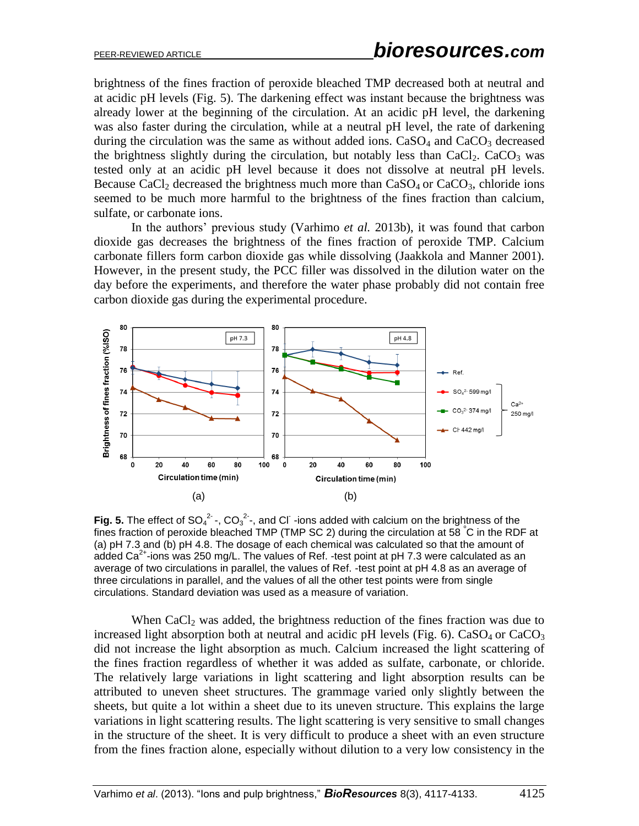brightness of the fines fraction of peroxide bleached TMP decreased both at neutral and at acidic pH levels (Fig. 5). The darkening effect was instant because the brightness was already lower at the beginning of the circulation. At an acidic pH level, the darkening was also faster during the circulation, while at a neutral pH level, the rate of darkening during the circulation was the same as without added ions.  $CaSO<sub>4</sub>$  and  $CaCO<sub>3</sub>$  decreased the brightness slightly during the circulation, but notably less than  $CaCl<sub>2</sub>$ .  $CaCO<sub>3</sub>$  was tested only at an acidic pH level because it does not dissolve at neutral pH levels. Because CaCl<sub>2</sub> decreased the brightness much more than  $CaSO<sub>4</sub>$  or  $CaCO<sub>3</sub>$ , chloride ions seemed to be much more harmful to the brightness of the fines fraction than calcium, sulfate, or carbonate ions.

In the authors' previous study (Varhimo *et al.* 2013b), it was found that carbon dioxide gas decreases the brightness of the fines fraction of peroxide TMP. Calcium carbonate fillers form carbon dioxide gas while dissolving (Jaakkola and Manner 2001). However, in the present study, the PCC filler was dissolved in the dilution water on the day before the experiments, and therefore the water phase probably did not contain free carbon dioxide gas during the experimental procedure.



**Fig. 5.** The effect of  $SO_4^2$  -,  $CO_3^2$  -, and Cl -ions added with calcium on the brightness of the fines fraction of peroxide bleached TMP (TMP SC 2) during the circulation at 58  $^{\circ}$ C in the RDF at (a) pH 7.3 and (b) pH 4.8. The dosage of each chemical was calculated so that the amount of added Ca<sup>2+</sup>-ions was 250 mg/L. The values of Ref. -test point at pH 7.3 were calculated as an average of two circulations in parallel, the values of Ref. -test point at pH 4.8 as an average of three circulations in parallel, and the values of all the other test points were from single circulations. Standard deviation was used as a measure of variation.

When  $CaCl<sub>2</sub>$  was added, the brightness reduction of the fines fraction was due to increased light absorption both at neutral and acidic pH levels (Fig. 6).  $CaSO<sub>4</sub>$  or  $CaCO<sub>3</sub>$ did not increase the light absorption as much. Calcium increased the light scattering of the fines fraction regardless of whether it was added as sulfate, carbonate, or chloride. The relatively large variations in light scattering and light absorption results can be attributed to uneven sheet structures. The grammage varied only slightly between the sheets, but quite a lot within a sheet due to its uneven structure. This explains the large variations in light scattering results. The light scattering is very sensitive to small changes in the structure of the sheet. It is very difficult to produce a sheet with an even structure from the fines fraction alone, especially without dilution to a very low consistency in the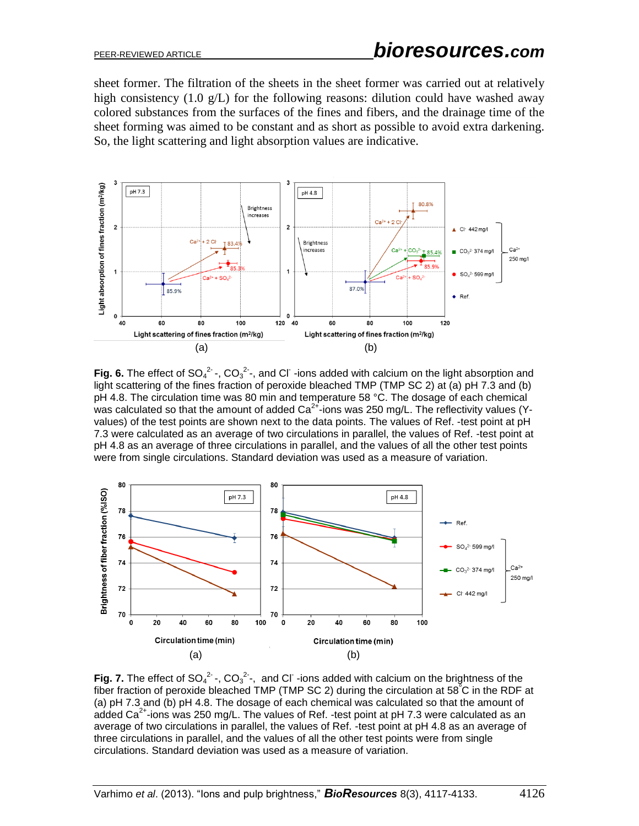sheet former. The filtration of the sheets in the sheet former was carried out at relatively high consistency (1.0 g/L) for the following reasons: dilution could have washed away colored substances from the surfaces of the fines and fibers, and the drainage time of the sheet forming was aimed to be constant and as short as possible to avoid extra darkening. So, the light scattering and light absorption values are indicative.



Fig. 6. The effect of  $SO_4^2$ <sup>-</sup>,  $CO_3^2$ <sup>-</sup>, and Cl<sup>-</sup>-ions added with calcium on the light absorption and light scattering of the fines fraction of peroxide bleached TMP (TMP SC 2) at (a) pH 7.3 and (b) pH 4.8. The circulation time was 80 min and temperature 58 °C. The dosage of each chemical was calculated so that the amount of added Ca<sup>2+</sup>-ions was 250 mg/L. The reflectivity values (Yvalues) of the test points are shown next to the data points. The values of Ref. -test point at pH 7.3 were calculated as an average of two circulations in parallel, the values of Ref. -test point at pH 4.8 as an average of three circulations in parallel, and the values of all the other test points were from single circulations. Standard deviation was used as a measure of variation.



**Fig. 7.** The effect of  $SO_4^2$ <sup>-</sup>,  $CO_3^2$ <sup>-</sup>, and Cl<sup>-</sup>-ions added with calcium on the brightness of the fiber fraction of peroxide bleached TMP (TMP SC 2) during the circulation at 58  $\degree$ C in the RDF at (a) pH 7.3 and (b) pH 4.8. The dosage of each chemical was calculated so that the amount of added Ca<sup>2+</sup>-ions was 250 mg/L. The values of Ref. -test point at pH 7.3 were calculated as an average of two circulations in parallel, the values of Ref. -test point at pH 4.8 as an average of three circulations in parallel, and the values of all the other test points were from single circulations. Standard deviation was used as a measure of variation.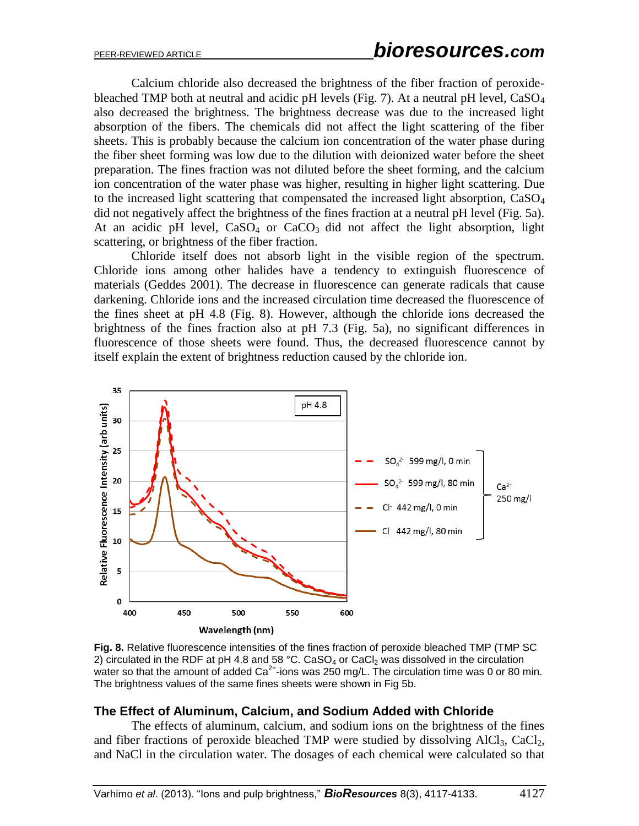Calcium chloride also decreased the brightness of the fiber fraction of peroxidebleached TMP both at neutral and acidic pH levels (Fig. 7). At a neutral pH level,  $CaSO<sub>4</sub>$ also decreased the brightness. The brightness decrease was due to the increased light absorption of the fibers. The chemicals did not affect the light scattering of the fiber sheets. This is probably because the calcium ion concentration of the water phase during the fiber sheet forming was low due to the dilution with deionized water before the sheet preparation. The fines fraction was not diluted before the sheet forming, and the calcium ion concentration of the water phase was higher, resulting in higher light scattering. Due to the increased light scattering that compensated the increased light absorption, CaSO<sub>4</sub> did not negatively affect the brightness of the fines fraction at a neutral pH level (Fig. 5a). At an acidic pH level,  $CaSO<sub>4</sub>$  or  $CaCO<sub>3</sub>$  did not affect the light absorption, light scattering, or brightness of the fiber fraction.

Chloride itself does not absorb light in the visible region of the spectrum. Chloride ions among other halides have a tendency to extinguish fluorescence of materials (Geddes 2001). The decrease in fluorescence can generate radicals that cause darkening. Chloride ions and the increased circulation time decreased the fluorescence of the fines sheet at pH 4.8 (Fig. 8). However, although the chloride ions decreased the brightness of the fines fraction also at pH 7.3 (Fig. 5a), no significant differences in fluorescence of those sheets were found. Thus, the decreased fluorescence cannot by itself explain the extent of brightness reduction caused by the chloride ion.



**Fig. 8.** Relative fluorescence intensities of the fines fraction of peroxide bleached TMP (TMP SC 2) circulated in the RDF at pH 4.8 and 58 °C. CaSO<sub>4</sub> or CaCl<sub>2</sub> was dissolved in the circulation water so that the amount of added Ca<sup>2+</sup>-ions was 250 mg/L. The circulation time was 0 or 80 min. The brightness values of the same fines sheets were shown in Fig 5b.

### **The Effect of Aluminum, Calcium, and Sodium Added with Chloride**

The effects of aluminum, calcium, and sodium ions on the brightness of the fines and fiber fractions of peroxide bleached TMP were studied by dissolving  $AICI<sub>3</sub>$ ,  $CaCl<sub>2</sub>$ , and NaCl in the circulation water. The dosages of each chemical were calculated so that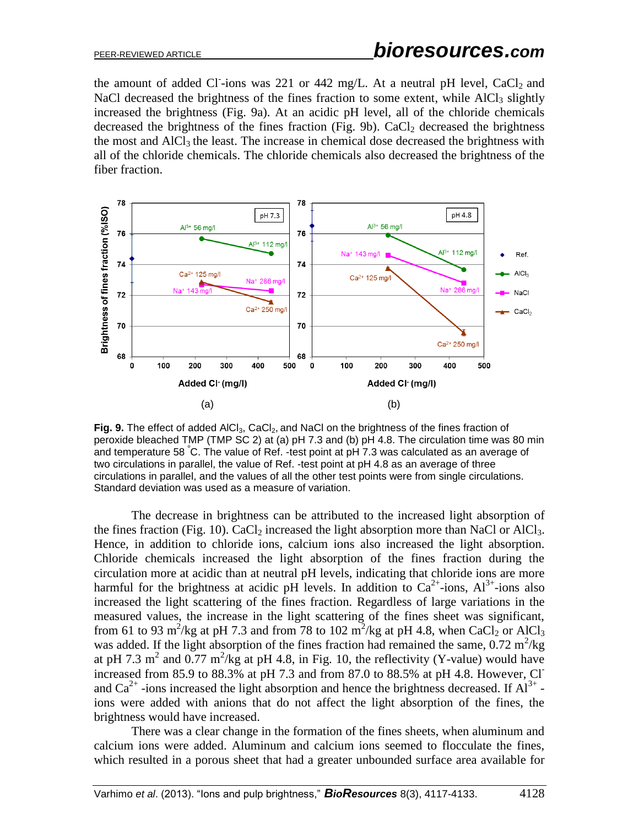the amount of added Cl<sup>-</sup>ions was 221 or 442 mg/L. At a neutral pH level,  $CaCl<sub>2</sub>$  and NaCl decreased the brightness of the fines fraction to some extent, while AlCl<sub>3</sub> slightly increased the brightness (Fig. 9a). At an acidic pH level, all of the chloride chemicals decreased the brightness of the fines fraction (Fig. 9b).  $CaCl<sub>2</sub>$  decreased the brightness the most and  $AICI<sub>3</sub>$  the least. The increase in chemical dose decreased the brightness with all of the chloride chemicals. The chloride chemicals also decreased the brightness of the fiber fraction.



Fig. 9. The effect of added AICI<sub>3</sub>, CaCI<sub>2</sub>, and NaCI on the brightness of the fines fraction of peroxide bleached TMP (TMP SC 2) at (a) pH 7.3 and (b) pH 4.8. The circulation time was 80 min and temperature 58  $\degree$ C. The value of Ref. -test point at pH 7.3 was calculated as an average of two circulations in parallel, the value of Ref. -test point at pH 4.8 as an average of three circulations in parallel, and the values of all the other test points were from single circulations. Standard deviation was used as a measure of variation.

The decrease in brightness can be attributed to the increased light absorption of the fines fraction (Fig. 10).  $CaCl<sub>2</sub>$  increased the light absorption more than NaCl or AlCl<sub>3</sub>. Hence, in addition to chloride ions, calcium ions also increased the light absorption. Chloride chemicals increased the light absorption of the fines fraction during the circulation more at acidic than at neutral pH levels, indicating that chloride ions are more harmful for the brightness at acidic pH levels. In addition to  $Ca^{2+}$ -ions,  $Al^{3+}$ -ions also increased the light scattering of the fines fraction. Regardless of large variations in the measured values, the increase in the light scattering of the fines sheet was significant, from 61 to 93 m<sup>2</sup>/kg at pH 7.3 and from 78 to 102 m<sup>2</sup>/kg at pH 4.8, when CaCl<sub>2</sub> or AlCl<sub>3</sub> was added. If the light absorption of the fines fraction had remained the same,  $0.72 \text{ m}^2/\text{kg}$ at pH 7.3 m<sup>2</sup> and 0.77 m<sup>2</sup>/kg at pH 4.8, in Fig. 10, the reflectivity (Y-value) would have increased from 85.9 to 88.3% at pH 7.3 and from 87.0 to 88.5% at pH 4.8. However, Cland  $Ca^{2+}$ -ions increased the light absorption and hence the brightness decreased. If  $Al^{3+}$ ions were added with anions that do not affect the light absorption of the fines, the brightness would have increased.

There was a clear change in the formation of the fines sheets, when aluminum and calcium ions were added. Aluminum and calcium ions seemed to flocculate the fines, which resulted in a porous sheet that had a greater unbounded surface area available for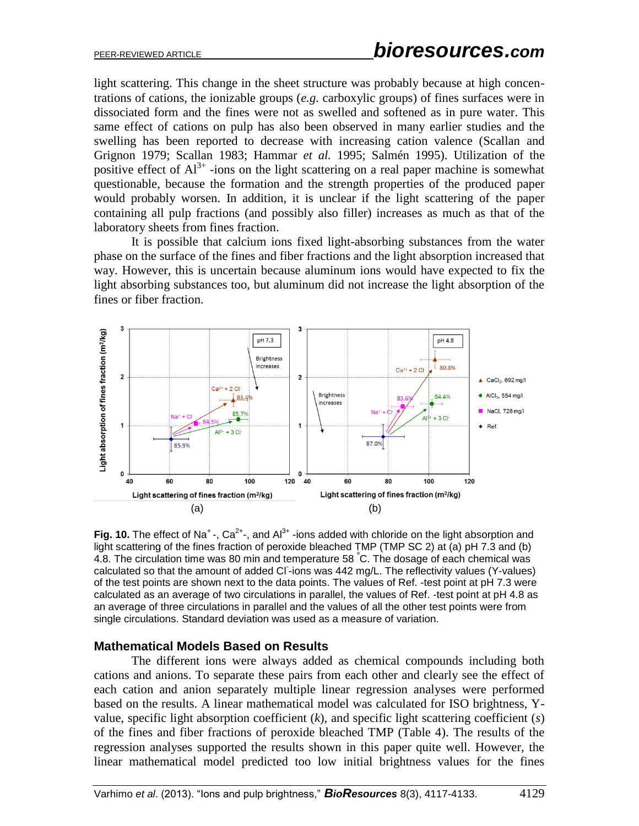light scattering. This change in the sheet structure was probably because at high concentrations of cations, the ionizable groups (*e.g.* carboxylic groups) of fines surfaces were in dissociated form and the fines were not as swelled and softened as in pure water. This same effect of cations on pulp has also been observed in many earlier studies and the swelling has been reported to decrease with increasing cation valence (Scallan and Grignon 1979; Scallan 1983; Hammar *et al.* 1995; Salmén 1995). Utilization of the positive effect of  $Al^{3+}$  -ions on the light scattering on a real paper machine is somewhat questionable, because the formation and the strength properties of the produced paper would probably worsen. In addition, it is unclear if the light scattering of the paper containing all pulp fractions (and possibly also filler) increases as much as that of the laboratory sheets from fines fraction.

It is possible that calcium ions fixed light-absorbing substances from the water phase on the surface of the fines and fiber fractions and the light absorption increased that way. However, this is uncertain because aluminum ions would have expected to fix the light absorbing substances too, but aluminum did not increase the light absorption of the fines or fiber fraction.



Fig. 10. The effect of Na<sup>+</sup>-, Ca<sup>2+</sup>-, and Al<sup>3+</sup>-ions added with chloride on the light absorption and light scattering of the fines fraction of peroxide bleached TMP (TMP SC 2) at (a) pH 7.3 and (b) 4.8. The circulation time was 80 min and temperature 58 <sup>º</sup>C. The dosage of each chemical was calculated so that the amount of added CI-ions was 442 mg/L. The reflectivity values (Y-values) of the test points are shown next to the data points. The values of Ref. -test point at pH 7.3 were calculated as an average of two circulations in parallel, the values of Ref. -test point at pH 4.8 as an average of three circulations in parallel and the values of all the other test points were from single circulations. Standard deviation was used as a measure of variation.

#### **Mathematical Models Based on Results**

The different ions were always added as chemical compounds including both cations and anions. To separate these pairs from each other and clearly see the effect of each cation and anion separately multiple linear regression analyses were performed based on the results. A linear mathematical model was calculated for ISO brightness, Yvalue, specific light absorption coefficient (*k*), and specific light scattering coefficient (*s*) of the fines and fiber fractions of peroxide bleached TMP (Table 4). The results of the regression analyses supported the results shown in this paper quite well. However, the linear mathematical model predicted too low initial brightness values for the fines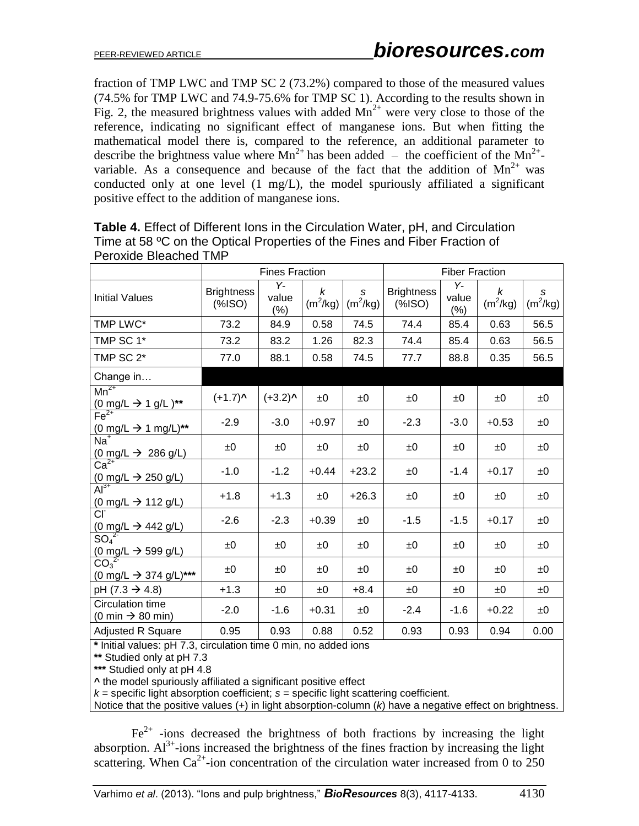fraction of TMP LWC and TMP SC 2 (73.2%) compared to those of the measured values (74.5% for TMP LWC and 74.9-75.6% for TMP SC 1). According to the results shown in Fig. 2, the measured brightness values with added  $Mn^{2+}$  were very close to those of the reference, indicating no significant effect of manganese ions. But when fitting the mathematical model there is, compared to the reference, an additional parameter to describe the brightness value where  $Mn^{2+}$  has been added – the coefficient of the  $Mn^{2+}$ variable. As a consequence and because of the fact that the addition of  $Mn^{2+}$  was conducted only at one level (1 mg/L), the model spuriously affiliated a significant positive effect to the addition of manganese ions.

|                                                                                        | <b>Fines Fraction</b>      |                        |                 | <b>Fiber Fraction</b> |                                    |                        |                 |                 |
|----------------------------------------------------------------------------------------|----------------------------|------------------------|-----------------|-----------------------|------------------------------------|------------------------|-----------------|-----------------|
| <b>Initial Values</b>                                                                  | <b>Brightness</b><br>%ISO) | Y-<br>value<br>$(\% )$ | k<br>$(m^2/kg)$ | S<br>$(m^2/kg)$       | <b>Brightness</b><br>$(% )^{2}(S)$ | Υ-<br>value<br>$(\% )$ | k<br>$(m^2/kg)$ | S<br>$(m^2/kg)$ |
| TMP LWC*                                                                               | 73.2                       | 84.9                   | 0.58            | 74.5                  | 74.4                               | 85.4                   | 0.63            | 56.5            |
| TMP SC 1*                                                                              | 73.2                       | 83.2                   | 1.26            | 82.3                  | 74.4                               | 85.4                   | 0.63            | 56.5            |
| TMP SC 2*                                                                              | 77.0                       | 88.1                   | 0.58            | 74.5                  | 77.7                               | 88.8                   | 0.35            | 56.5            |
| Change in                                                                              |                            |                        |                 |                       |                                    |                        |                 |                 |
| $Mn^{2+}$<br>$\frac{(0 \text{ mg/L} \rightarrow 1 \text{ g/L})^{**}}{ \text{Fe}^{2+}}$ | $(+1.7)^{A}$               | $(+3.2)$ <sup>^</sup>  | ±0              | ±0                    | ±0                                 | ±0                     | ±0              | ±0              |
| $(0 \text{ mg/L} \rightarrow 1 \text{ mg/L})$ **                                       | $-2.9$                     | $-3.0$                 | $+0.97$         | ±0                    | $-2.3$                             | $-3.0$                 | $+0.53$         | ±0              |
| $Na+$<br>$\frac{(0 \text{ mg/L} \rightarrow 286 \text{ g/L})}{\text{Ca}^{2+}}$         | ±0                         | ±0                     | ±0              | ±0                    | ±0                                 | ±0                     | ±0              | ±0              |
| $\frac{(0 \text{ mg/L} \rightarrow 250 \text{ g/L})}{\text{Al}^{3+}}$                  | $-1.0$                     | $-1.2$                 | $+0.44$         | $+23.2$               | ±0                                 | $-1.4$                 | $+0.17$         | ±0              |
| $\frac{(0 \text{ mg/L} \rightarrow 112 \text{ g/L})}{\text{Cl}}$                       | $+1.8$                     | $+1.3$                 | ±0              | $+26.3$               | ±0                                 | ±0                     | ±0              | ±0              |
| $\frac{(0 \text{ mg/L} \rightarrow 442 \text{ g/L})}{SO_4^{2}}$                        | $-2.6$                     | $-2.3$                 | $+0.39$         | ±0                    | $-1.5$                             | $-1.5$                 | $+0.17$         | ±0              |
| $\frac{(0 \text{ mg/L} \rightarrow 599 \text{ g/L})}{CO_3^{2}}$                        | ±0                         | ±0                     | ±0              | ±0                    | ±0                                 | ±0                     | ±0              | ±0              |
| $(0 \text{ mg/L} \rightarrow 374 \text{ g/L})$ ***                                     | ±0                         | ±0                     | ±0              | ±0                    | ±0                                 | ±0                     | ±0              | ±0              |
| $pH (7.3 \rightarrow 4.8)$                                                             | $+1.3$                     | ±0                     | ±0              | $+8.4$                | ±0                                 | ±0                     | ±0              | ±0              |
| Circulation time<br>$(0 \text{ min} \rightarrow 80 \text{ min})$                       | $-2.0$                     | $-1.6$                 | $+0.31$         | ±0                    | $-2.4$                             | $-1.6$                 | $+0.22$         | ±0              |
| <b>Adjusted R Square</b>                                                               | 0.95                       | 0.93                   | 0.88            | 0.52                  | 0.93                               | 0.93                   | 0.94            | 0.00            |

**Table 4.** Effect of Different Ions in the Circulation Water, pH, and Circulation Time at 58 °C on the Optical Properties of the Fines and Fiber Fraction of Peroxide Bleached TMP

**\*** Initial values: pH 7.3, circulation time 0 min, no added ions

**\*\*** Studied only at pH 7.3

**\*\*\*** Studied only at pH 4.8

**^** the model spuriously affiliated a significant positive effect

*k* = specific light absorption coefficient; *s* = specific light scattering coefficient.

Notice that the positive values (+) in light absorption-column (*k*) have a negative effect on brightness.

 $\text{Fe}^{2+}$  -ions decreased the brightness of both fractions by increasing the light absorption.  $Al^{3+}$ -ions increased the brightness of the fines fraction by increasing the light scattering. When  $Ca^{2+}$ -ion concentration of the circulation water increased from 0 to 250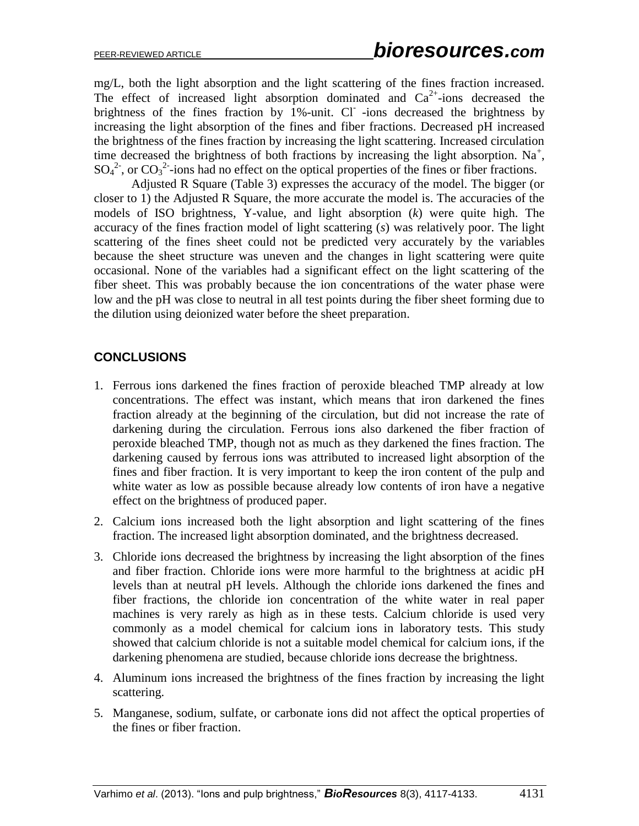mg/L, both the light absorption and the light scattering of the fines fraction increased. The effect of increased light absorption dominated and  $Ca<sup>2+</sup>$ -ions decreased the brightness of the fines fraction by  $1\%$ -unit. Cl -ions decreased the brightness by increasing the light absorption of the fines and fiber fractions. Decreased pH increased the brightness of the fines fraction by increasing the light scattering. Increased circulation time decreased the brightness of both fractions by increasing the light absorption. Na<sup>+</sup>,  $SO_4^2$ , or  $CO_3^2$ -ions had no effect on the optical properties of the fines or fiber fractions.

Adjusted R Square (Table 3) expresses the accuracy of the model. The bigger (or closer to 1) the Adjusted R Square, the more accurate the model is. The accuracies of the models of ISO brightness, Y-value, and light absorption (*k*) were quite high. The accuracy of the fines fraction model of light scattering (*s*) was relatively poor. The light scattering of the fines sheet could not be predicted very accurately by the variables because the sheet structure was uneven and the changes in light scattering were quite occasional. None of the variables had a significant effect on the light scattering of the fiber sheet. This was probably because the ion concentrations of the water phase were low and the pH was close to neutral in all test points during the fiber sheet forming due to the dilution using deionized water before the sheet preparation.

# **CONCLUSIONS**

- 1. Ferrous ions darkened the fines fraction of peroxide bleached TMP already at low concentrations. The effect was instant, which means that iron darkened the fines fraction already at the beginning of the circulation, but did not increase the rate of darkening during the circulation. Ferrous ions also darkened the fiber fraction of peroxide bleached TMP, though not as much as they darkened the fines fraction. The darkening caused by ferrous ions was attributed to increased light absorption of the fines and fiber fraction. It is very important to keep the iron content of the pulp and white water as low as possible because already low contents of iron have a negative effect on the brightness of produced paper.
- 2. Calcium ions increased both the light absorption and light scattering of the fines fraction. The increased light absorption dominated, and the brightness decreased.
- 3. Chloride ions decreased the brightness by increasing the light absorption of the fines and fiber fraction. Chloride ions were more harmful to the brightness at acidic pH levels than at neutral pH levels. Although the chloride ions darkened the fines and fiber fractions, the chloride ion concentration of the white water in real paper machines is very rarely as high as in these tests. Calcium chloride is used very commonly as a model chemical for calcium ions in laboratory tests. This study showed that calcium chloride is not a suitable model chemical for calcium ions, if the darkening phenomena are studied, because chloride ions decrease the brightness.
- 4. Aluminum ions increased the brightness of the fines fraction by increasing the light scattering.
- 5. Manganese, sodium, sulfate, or carbonate ions did not affect the optical properties of the fines or fiber fraction.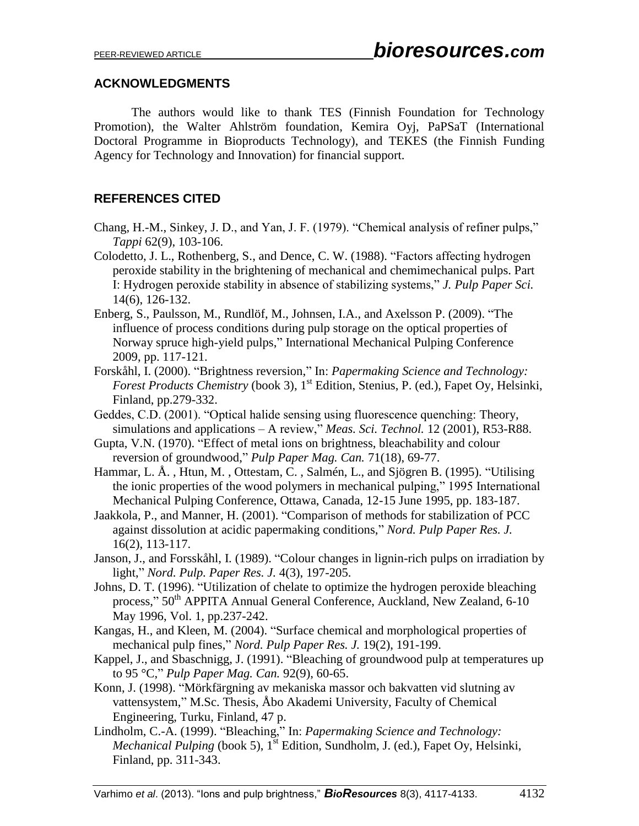### **ACKNOWLEDGMENTS**

The authors would like to thank TES (Finnish Foundation for Technology Promotion), the Walter Ahlström foundation, Kemira Oyj, PaPSaT (International Doctoral Programme in Bioproducts Technology), and TEKES (the Finnish Funding Agency for Technology and Innovation) for financial support.

# **REFERENCES CITED**

- Chang, H.-M., Sinkey, J. D., and Yan, J. F. (1979). "Chemical analysis of refiner pulps," *Tappi* 62(9), 103-106.
- Colodetto, J. L., Rothenberg, S., and Dence, C. W. (1988). "Factors affecting hydrogen peroxide stability in the brightening of mechanical and chemimechanical pulps. Part I: Hydrogen peroxide stability in absence of stabilizing systems," *J. Pulp Paper Sci.* 14(6), 126-132.
- Enberg, S., Paulsson, M., Rundlöf, M., Johnsen, I.A., and Axelsson P. (2009). "The influence of process conditions during pulp storage on the optical properties of Norway spruce high-yield pulps," International Mechanical Pulping Conference 2009, pp. 117-121.
- Forskåhl, I. (2000). "Brightness reversion," In: *Papermaking Science and Technology: Forest Products Chemistry* (book 3), 1<sup>st</sup> Edition, Stenius, P. (ed.), Fapet Oy, Helsinki, Finland, pp.279-332.
- Geddes, C.D. (2001). "Optical halide sensing using fluorescence quenching: Theory, simulations and applications – A review," *Meas. Sci. Technol.* 12 (2001), R53-R88.
- Gupta, V.N. (1970). "Effect of metal ions on brightness, bleachability and colour reversion of groundwood," *Pulp Paper Mag. Can.* 71(18), 69-77.
- Hammar, L. Å. , Htun, M. , Ottestam, C. , Salmén, L., and Sjögren B. (1995). "Utilising the ionic properties of the wood polymers in mechanical pulping," 1995 International Mechanical Pulping Conference, Ottawa, Canada, 12-15 June 1995, pp. 183-187.
- Jaakkola, P., and Manner, H. (2001). "Comparison of methods for stabilization of PCC against dissolution at acidic papermaking conditions," *Nord. Pulp Paper Res. J.* 16(2), 113-117.
- Janson, J., and Forsskåhl, I. (1989). "Colour changes in lignin-rich pulps on irradiation by light," *Nord. Pulp. Paper Res. J.* 4(3), 197-205.
- Johns, D. T. (1996). "Utilization of chelate to optimize the hydrogen peroxide bleaching process," 50<sup>th</sup> APPITA Annual General Conference, Auckland, New Zealand, 6-10 May 1996, Vol. 1, pp.237-242.
- Kangas, H., and Kleen, M. (2004). "Surface chemical and morphological properties of mechanical pulp fines," *Nord. Pulp Paper Res. J.* 19(2), 191-199.
- Kappel, J., and Sbaschnigg, J. (1991). "Bleaching of groundwood pulp at temperatures up to 95 °C," *Pulp Paper Mag. Can.* 92(9), 60-65.
- Konn, J. (1998). "Mörkfärgning av mekaniska massor och bakvatten vid slutning av vattensystem," M.Sc. Thesis, Åbo Akademi University, Faculty of Chemical Engineering, Turku, Finland, 47 p.
- Lindholm, C.-A. (1999). "Bleaching," In: *Papermaking Science and Technology: Mechanical Pulping* (book 5), 1<sup>st</sup> Edition, Sundholm, J. (ed.), Fapet Oy, Helsinki, Finland, pp. 311-343.